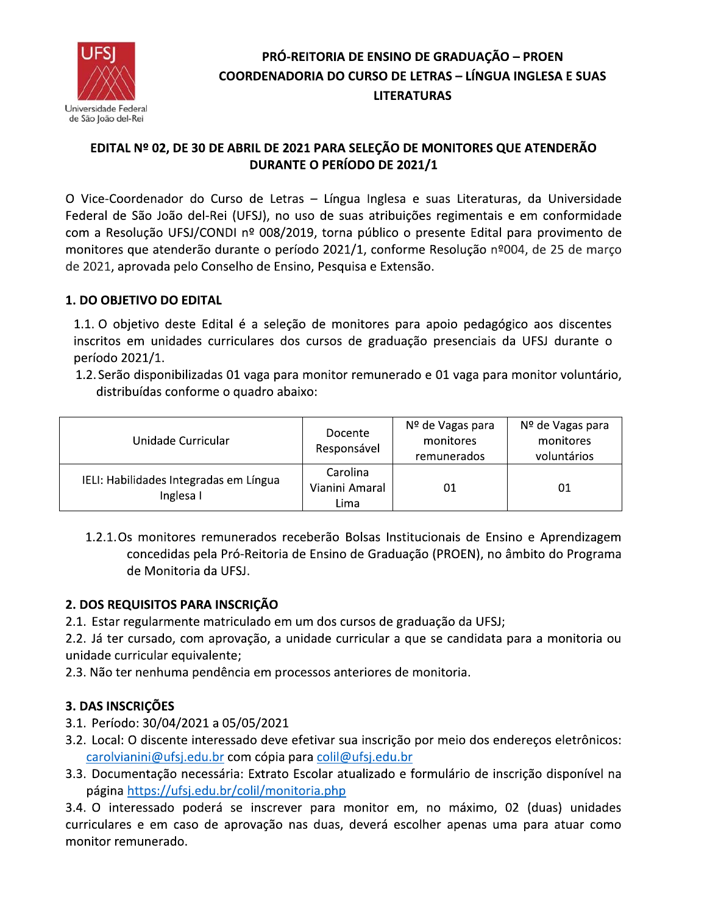

## EDITAL Nº 02, DE 30 DE ABRIL DE 2021 PARA SELEÇÃO DE MONITORES QUE ATENDERÃO **DURANTE O PERÍODO DE 2021/1**

O Vice-Coordenador do Curso de Letras - Língua Inglesa e suas Literaturas, da Universidade Federal de São João del-Rei (UFSJ), no uso de suas atribuições regimentais e em conformidade com a Resolução UFSJ/CONDI nº 008/2019, torna público o presente Edital para provimento de monitores que atenderão durante o período 2021/1, conforme Resolução nº004, de 25 de março de 2021, aprovada pelo Conselho de Ensino, Pesquisa e Extensão.

### 1. DO OBJETIVO DO EDITAL

1.1. O objetivo deste Edital é a seleção de monitores para apoio pedagógico aos discentes inscritos em unidades curriculares dos cursos de graduação presenciais da UFSJ durante o período 2021/1.

1.2. Serão disponibilizadas 01 vaga para monitor remunerado e 01 vaga para monitor voluntário, distribuídas conforme o quadro abaixo:

| Unidade Curricular                                  | Docente<br>Responsável             | Nº de Vagas para<br>monitores<br>remunerados | Nº de Vagas para<br>monitores<br>voluntários |
|-----------------------------------------------------|------------------------------------|----------------------------------------------|----------------------------------------------|
| IELI: Habilidades Integradas em Língua<br>Inglesa I | Carolina<br>Vianini Amaral<br>Lima | 01                                           | 01                                           |

1.2.1. Os monitores remunerados receberão Bolsas Institucionais de Ensino e Aprendizagem concedidas pela Pró-Reitoria de Ensino de Graduação (PROEN), no âmbito do Programa de Monitoria da UFSJ.

#### 2. DOS REQUISITOS PARA INSCRIÇÃO

2.1. Estar regularmente matriculado em um dos cursos de graduação da UFSJ;

2.2. Já ter cursado, com aprovação, a unidade curricular a que se candidata para a monitoria ou unidade curricular equivalente;

2.3. Não ter nenhuma pendência em processos anteriores de monitoria.

## 3. DAS INSCRIÇÕES

- 3.1. Período: 30/04/2021 a 05/05/2021
- 3.2. Local: O discente interessado deve efetivar sua inscrição por meio dos endereços eletrônicos: carolvianini@ufsj.edu.br com cópia para colil@ufsj.edu.br
- 3.3. Documentação necessária: Extrato Escolar atualizado e formulário de inscrição disponível na página https://ufsj.edu.br/colil/monitoria.php

3.4. O interessado poderá se inscrever para monitor em, no máximo, 02 (duas) unidades curriculares e em caso de aprovação nas duas, deverá escolher apenas uma para atuar como monitor remunerado.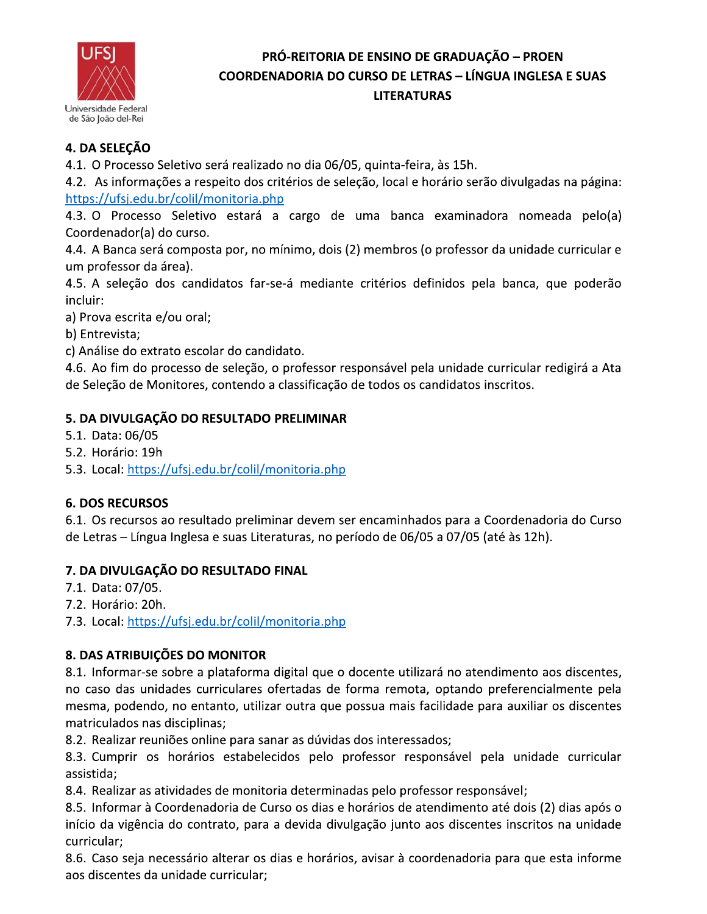

# 4. DA SELECÃO

4.1. O Processo Seletivo será realizado no dia 06/05, quinta-feira, às 15h.

4.2. As informações a respeito dos critérios de seleção, local e horário serão divulgadas na página: https://ufsj.edu.br/colil/monitoria.php

4.3. O Processo Seletivo estará a cargo de uma banca examinadora nomeada pelo(a) Coordenador(a) do curso.

4.4. A Banca será composta por, no mínimo, dois (2) membros (o professor da unidade curricular e um professor da área).

4.5. A seleção dos candidatos far-se-á mediante critérios definidos pela banca, que poderão incluir:

a) Prova escrita e/ou oral;

b) Entrevista;

c) Análise do extrato escolar do candidato.

4.6. Ao fim do processo de seleção, o professor responsável pela unidade curricular redigirá a Ata de Seleção de Monitores, contendo a classificação de todos os candidatos inscritos.

## 5. DA DIVULGAÇÃO DO RESULTADO PRELIMINAR

5.1. Data: 06/05

5.2. Horário: 19h

5.3. Local: https://ufsj.edu.br/colil/monitoria.php

## **6. DOS RECURSOS**

6.1. Os recursos ao resultado preliminar devem ser encaminhados para a Coordenadoria do Curso de Letras – Língua Inglesa e suas Literaturas, no período de 06/05 a 07/05 (até às 12h).

## 7. DA DIVULGAÇÃO DO RESULTADO FINAL

7.1. Data: 07/05.

7.2. Horário: 20h.

7.3. Local: https://ufsj.edu.br/colil/monitoria.php

## 8. DAS ATRIBUIÇÕES DO MONITOR

8.1. Informar-se sobre a plataforma digital que o docente utilizará no atendimento aos discentes, no caso das unidades curriculares ofertadas de forma remota, optando preferencialmente pela mesma, podendo, no entanto, utilizar outra que possua mais facilidade para auxiliar os discentes matriculados nas disciplinas;

8.2. Realizar reuniões online para sanar as dúvidas dos interessados;

8.3. Cumprir os horários estabelecidos pelo professor responsável pela unidade curricular assistida:

8.4. Realizar as atividades de monitoria determinadas pelo professor responsável;

8.5. Informar à Coordenadoria de Curso os dias e horários de atendimento até dois (2) dias após o início da vigência do contrato, para a devida divulgação junto aos discentes inscritos na unidade curricular:

8.6. Caso seja necessário alterar os dias e horários, avisar à coordenadoria para que esta informe aos discentes da unidade curricular;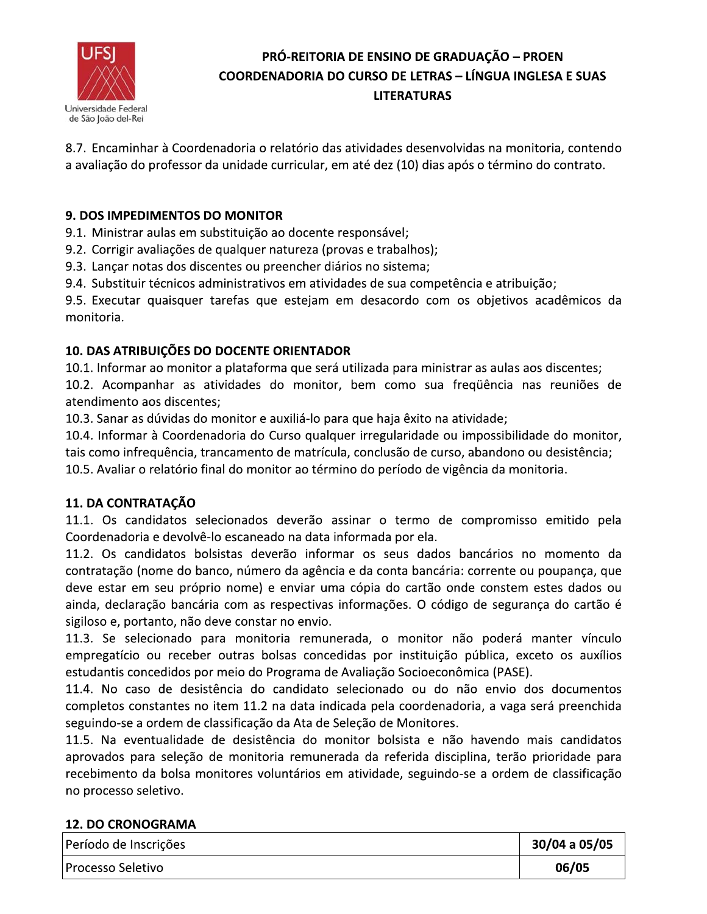

8.7. Encaminhar à Coordenadoria o relatório das atividades desenvolvidas na monitoria, contendo a avaliação do professor da unidade curricular, em até dez (10) dias após o término do contrato.

### 9. DOS IMPEDIMENTOS DO MONITOR

9.1. Ministrar aulas em substituição ao docente responsável;

9.2. Corrigir avaliações de qualquer natureza (provas e trabalhos);

9.3. Lançar notas dos discentes ou preencher diários no sistema;

9.4. Substituir técnicos administrativos em atividades de sua competência e atribuição;

9.5. Executar quaisquer tarefas que estejam em desacordo com os objetivos acadêmicos da monitoria.

### 10. DAS ATRIBUIÇÕES DO DOCENTE ORIENTADOR

10.1. Informar ao monitor a plataforma que será utilizada para ministrar as aulas aos discentes; 10.2. Acompanhar as atividades do monitor, bem como sua freqüência nas reuniões de atendimento aos discentes:

10.3. Sanar as dúvidas do monitor e auxiliá-lo para que haja êxito na atividade;

10.4. Informar à Coordenadoria do Curso qualquer irregularidade ou impossibilidade do monitor, tais como infrequência, trancamento de matrícula, conclusão de curso, abandono ou desistência;

10.5. Avaliar o relatório final do monitor ao término do período de vigência da monitoria.

## 11. DA CONTRATAÇÃO

11.1. Os candidatos selecionados deverão assinar o termo de compromisso emitido pela Coordenadoria e devolvê-lo escaneado na data informada por ela.

11.2. Os candidatos bolsistas deverão informar os seus dados bancários no momento da contratação (nome do banco, número da agência e da conta bancária: corrente ou poupança, que deve estar em seu próprio nome) e enviar uma cópia do cartão onde constem estes dados ou ainda, declaração bancária com as respectivas informações. O código de segurança do cartão é sigiloso e, portanto, não deve constar no envio.

11.3. Se selecionado para monitoria remunerada, o monitor não poderá manter vínculo empregatício ou receber outras bolsas concedidas por instituição pública, exceto os auxílios estudantis concedidos por meio do Programa de Avaliação Socioeconômica (PASE).

11.4. No caso de desistência do candidato selecionado ou do não envio dos documentos completos constantes no item 11.2 na data indicada pela coordenadoria, a vaga será preenchida seguindo-se a ordem de classificação da Ata de Seleção de Monitores.

11.5. Na eventualidade de desistência do monitor bolsista e não havendo mais candidatos aprovados para seleção de monitoria remunerada da referida disciplina, terão prioridade para recebimento da bolsa monitores voluntários em atividade, seguindo-se a ordem de classificação no processo seletivo.

#### **12. DO CRONOGRAMA**

| Período de Inscrições | 30/04 a 05/05 |
|-----------------------|---------------|
| Processo Seletivo     | 06/05         |